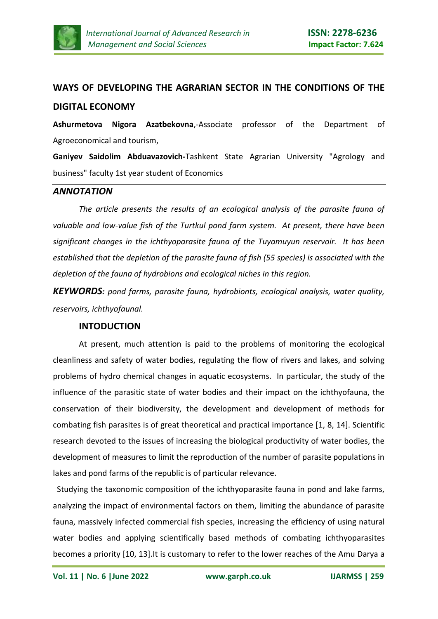

# **WAYS OF DEVELOPING THE AGRARIAN SECTOR IN THE CONDITIONS OF THE DIGITAL ECONOMY**

**Ashurmetova Nigora Azatbekovna**,-Associate professor of the Department of Agroeconomical and tourism,

**Ganiyev Saidolim Abduavazovich-**Tashkent State Agrarian University "Agrology and business" faculty 1st year student of Economics

#### *ANNOTATION*

*The article presents the results of an ecological analysis of the parasite fauna of valuable and low-value fish of the Turtkul pond farm system. At present, there have been significant changes in the ichthyoparasite fauna of the Tuyamuyun reservoir. It has been established that the depletion of the parasite fauna of fish (55 species) is associated with the depletion of the fauna of hydrobions and ecological niches in this region.*

*KEYWORDS: pond farms, parasite fauna, hydrobionts, ecological analysis, water quality, reservoirs, ichthyofaunal.*

#### **INTODUCTION**

At present, much attention is paid to the problems of monitoring the ecological cleanliness and safety of water bodies, regulating the flow of rivers and lakes, and solving problems of hydro chemical changes in aquatic ecosystems. In particular, the study of the influence of the parasitic state of water bodies and their impact on the ichthyofauna, the conservation of their biodiversity, the development and development of methods for combating fish parasites is of great theoretical and practical importance [1, 8, 14]. Scientific research devoted to the issues of increasing the biological productivity of water bodies, the development of measures to limit the reproduction of the number of parasite populations in lakes and pond farms of the republic is of particular relevance.

 Studying the taxonomic composition of the ichthyoparasite fauna in pond and lake farms, analyzing the impact of environmental factors on them, limiting the abundance of parasite fauna, massively infected commercial fish species, increasing the efficiency of using natural water bodies and applying scientifically based methods of combating ichthyoparasites becomes a priority [10, 13].It is customary to refer to the lower reaches of the Amu Darya a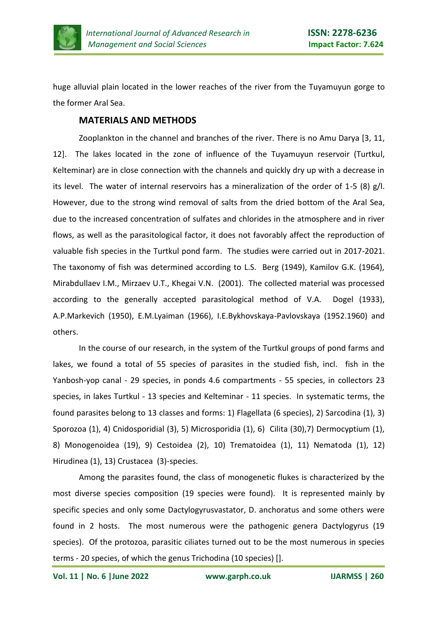

huge alluvial plain located in the lower reaches of the river from the Tuyamuyun gorge to the former Aral Sea.

### **MATERIALS AND METHODS**

Zooplankton in the channel and branches of the river. There is no Amu Darya [3, 11, 12]. The lakes located in the zone of influence of the Tuyamuyun reservoir (Turtkul, Kelteminar) are in close connection with the channels and quickly dry up with a decrease in its level. The water of internal reservoirs has a mineralization of the order of 1-5 (8) g/l. However, due to the strong wind removal of salts from the dried bottom of the Aral Sea, due to the increased concentration of sulfates and chlorides in the atmosphere and in river flows, as well as the parasitological factor, it does not favorably affect the reproduction of valuable fish species in the Turtkul pond farm. The studies were carried out in 2017-2021. The taxonomy of fish was determined according to L.S. Berg (1949), Kamilov G.K. (1964), Mirabdullaev I.M., Mirzaev U.T., Khegai V.N. (2001). The collected material was processed according to the generally accepted parasitological method of V.A. Dogel (1933), A.P.Markevich (1950), E.M.Lyaiman (1966), I.E.Bykhovskaya-Pavlovskaya (1952.1960) and others.

In the course of our research, in the system of the Turtkul groups of pond farms and lakes, we found a total of 55 species of parasites in the studied fish, incl. fish in the Yanbosh-yop canal - 29 species, in ponds 4.6 compartments - 55 species, in collectors 23 species, in lakes Turtkul - 13 species and Kelteminar - 11 species. In systematic terms, the found parasites belong to 13 classes and forms: 1) Flagellata (6 species), 2) Sarcodina (1), 3) Sporozoa (1), 4) Cnidosporidial (3), 5) Microsporidia (1), 6) Cilita (30),7) Dermocyptium (1), 8) Monogenoidea (19), 9) Cestoidea (2), 10) Trematoidea (1), 11) Nematoda (1), 12) Hirudinea (1), 13) Crustacea (3)-species.

Among the parasites found, the class of monogenetic flukes is characterized by the most diverse species composition (19 species were found). It is represented mainly by specific species and only some Dactylogyrusvastator, D. anchoratus and some others were found in 2 hosts. The most numerous were the pathogenic genera Dactylogyrus (19 species). Of the protozoa, parasitic ciliates turned out to be the most numerous in species terms - 20 species, of which the genus Trichodina (10 species) [].

**Vol. 11 | No. 6 |June 2022 www.garph.co.uk IJARMSS | 260**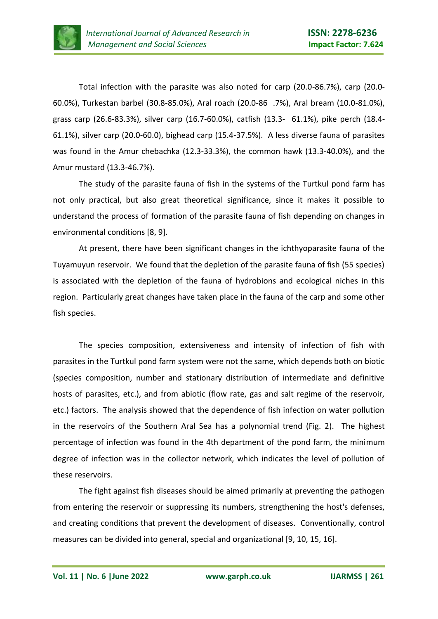

Total infection with the parasite was also noted for carp (20.0-86.7%), carp (20.0- 60.0%), Turkestan barbel (30.8-85.0%), Aral roach (20.0-86 .7%), Aral bream (10.0-81.0%), grass carp (26.6-83.3%), silver carp (16.7-60.0%), catfish (13.3- 61.1%), pike perch (18.4- 61.1%), silver carp (20.0-60.0), bighead carp (15.4-37.5%). A less diverse fauna of parasites was found in the Amur chebachka (12.3-33.3%), the common hawk (13.3-40.0%), and the Amur mustard (13.3-46.7%).

The study of the parasite fauna of fish in the systems of the Turtkul pond farm has not only practical, but also great theoretical significance, since it makes it possible to understand the process of formation of the parasite fauna of fish depending on changes in environmental conditions [8, 9].

At present, there have been significant changes in the ichthyoparasite fauna of the Tuyamuyun reservoir. We found that the depletion of the parasite fauna of fish (55 species) is associated with the depletion of the fauna of hydrobions and ecological niches in this region. Particularly great changes have taken place in the fauna of the carp and some other fish species.

The species composition, extensiveness and intensity of infection of fish with parasites in the Turtkul pond farm system were not the same, which depends both on biotic (species composition, number and stationary distribution of intermediate and definitive hosts of parasites, etc.), and from abiotic (flow rate, gas and salt regime of the reservoir, etc.) factors. The analysis showed that the dependence of fish infection on water pollution in the reservoirs of the Southern Aral Sea has a polynomial trend (Fig. 2). The highest percentage of infection was found in the 4th department of the pond farm, the minimum degree of infection was in the collector network, which indicates the level of pollution of these reservoirs.

The fight against fish diseases should be aimed primarily at preventing the pathogen from entering the reservoir or suppressing its numbers, strengthening the host's defenses, and creating conditions that prevent the development of diseases. Conventionally, control measures can be divided into general, special and organizational [9, 10, 15, 16].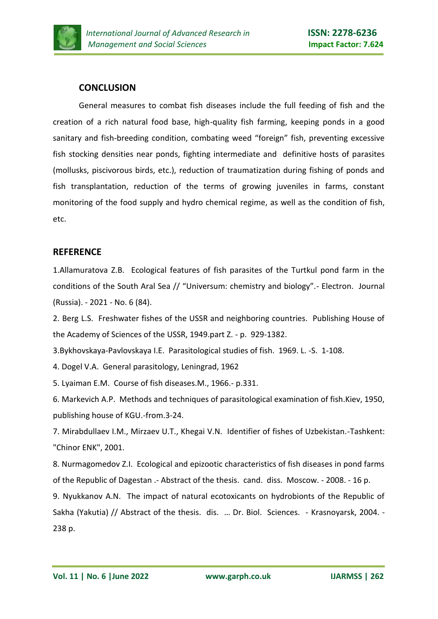

# **CONCLUSION**

General measures to combat fish diseases include the full feeding of fish and the creation of a rich natural food base, high-quality fish farming, keeping ponds in a good sanitary and fish-breeding condition, combating weed "foreign" fish, preventing excessive fish stocking densities near ponds, fighting intermediate and definitive hosts of parasites (mollusks, piscivorous birds, etc.), reduction of traumatization during fishing of ponds and fish transplantation, reduction of the terms of growing juveniles in farms, constant monitoring of the food supply and hydro chemical regime, as well as the condition of fish, etc.

# **REFERENCE**

1.Allamuratova Z.B. Ecological features of fish parasites of the Turtkul pond farm in the conditions of the South Aral Sea // "Universum: chemistry and biology".- Electron. Journal (Russia). - 2021 - No. 6 (84).

2. Berg L.S. Freshwater fishes of the USSR and neighboring countries. Publishing House of the Academy of Sciences of the USSR, 1949.part Z. - p. 929-1382.

3.Bykhovskaya-Pavlovskaya I.E. Parasitological studies of fish. 1969. L. -S. 1-108.

4. Dogel V.A. General parasitology, Leningrad, 1962

5. Lyaiman E.M. Course of fish diseases.M., 1966.- p.331.

6. Markevich A.P. Methods and techniques of parasitological examination of fish.Kiev, 1950, publishing house of KGU.-from.3-24.

7. Mirabdullaev I.M., Mirzaev U.T., Khegai V.N. Identifier of fishes of Uzbekistan.-Tashkent: "Chinor ENK", 2001.

8. Nurmagomedov Z.I. Ecological and epizootic characteristics of fish diseases in pond farms of the Republic of Dagestan .- Abstract of the thesis. cand. diss. Moscow. - 2008. - 16 p.

9. Nyukkanov A.N. The impact of natural ecotoxicants on hydrobionts of the Republic of Sakha (Yakutia) // Abstract of the thesis. dis. … Dr. Biol. Sciences. - Krasnoyarsk, 2004. - 238 p.